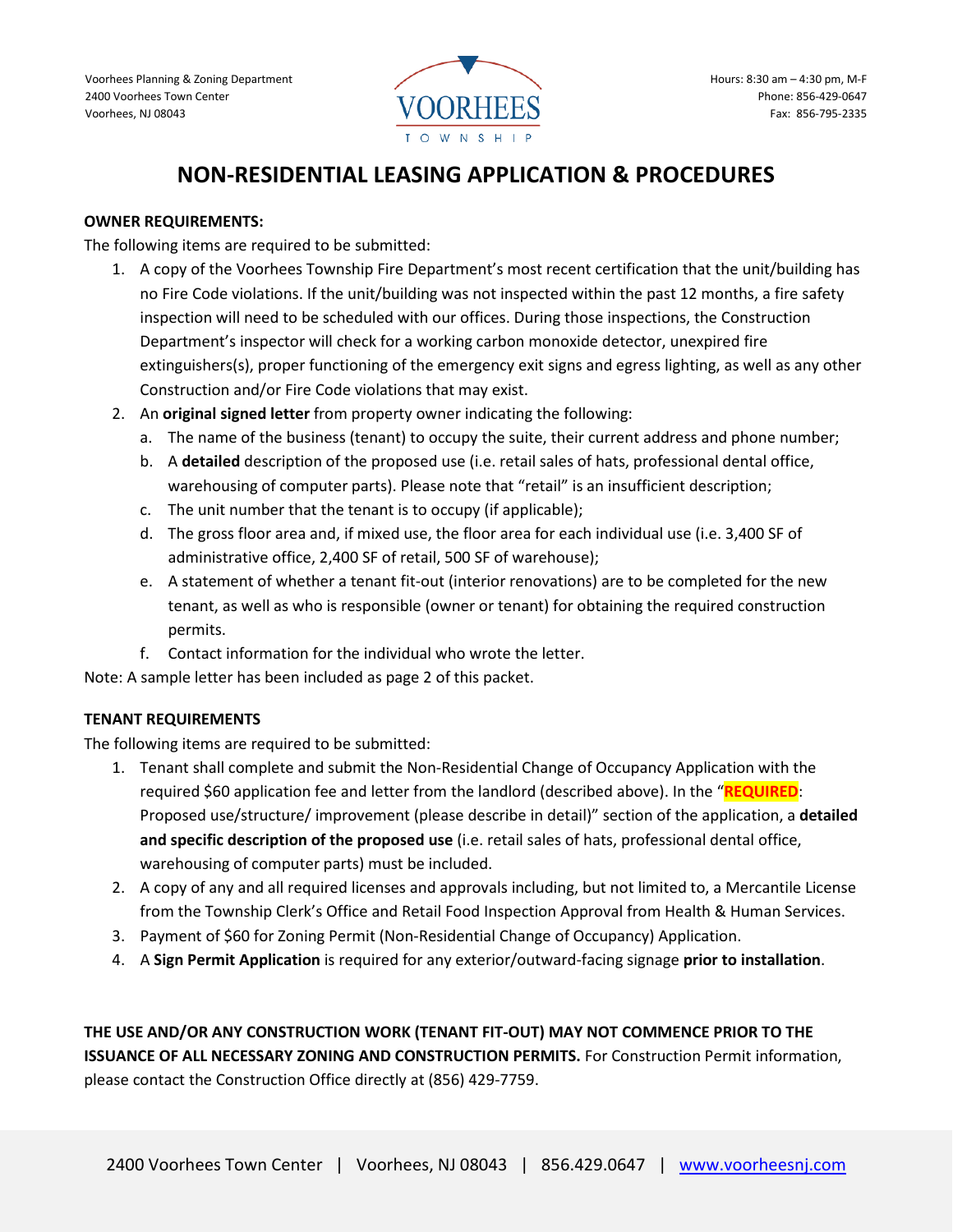

# **NON-RESIDENTIAL LEASING APPLICATION & PROCEDURES**

#### **OWNER REQUIREMENTS:**

The following items are required to be submitted:

- 1. A copy of the Voorhees Township Fire Department's most recent certification that the unit/building has no Fire Code violations. If the unit/building was not inspected within the past 12 months, a fire safety inspection will need to be scheduled with our offices. During those inspections, the Construction Department's inspector will check for a working carbon monoxide detector, unexpired fire extinguishers(s), proper functioning of the emergency exit signs and egress lighting, as well as any other Construction and/or Fire Code violations that may exist.
- 2. An **original signed letter** from property owner indicating the following:
	- a. The name of the business (tenant) to occupy the suite, their current address and phone number;
	- b. A **detailed** description of the proposed use (i.e. retail sales of hats, professional dental office, warehousing of computer parts). Please note that "retail" is an insufficient description;
	- c. The unit number that the tenant is to occupy (if applicable);
	- d. The gross floor area and, if mixed use, the floor area for each individual use (i.e. 3,400 SF of administrative office, 2,400 SF of retail, 500 SF of warehouse);
	- e. A statement of whether a tenant fit-out (interior renovations) are to be completed for the new tenant, as well as who is responsible (owner or tenant) for obtaining the required construction permits.
	- f. Contact information for the individual who wrote the letter.

Note: A sample letter has been included as page 2 of this packet.

#### **TENANT REQUIREMENTS**

The following items are required to be submitted:

- 1. Tenant shall complete and submit the Non-Residential Change of Occupancy Application with the required \$60 application fee and letter from the landlord (described above). In the "**REQUIRED**: Proposed use/structure/ improvement (please describe in detail)" section of the application, a **detailed and specific description of the proposed use** (i.e. retail sales of hats, professional dental office, warehousing of computer parts) must be included.
- 2. A copy of any and all required licenses and approvals including, but not limited to, a Mercantile License from the Township Clerk's Office and Retail Food Inspection Approval from Health & Human Services.
- 3. Payment of \$60 for Zoning Permit (Non-Residential Change of Occupancy) Application.
- 4. A **Sign Permit Application** is required for any exterior/outward-facing signage **prior to installation**.

**THE USE AND/OR ANY CONSTRUCTION WORK (TENANT FIT-OUT) MAY NOT COMMENCE PRIOR TO THE ISSUANCE OF ALL NECESSARY ZONING AND CONSTRUCTION PERMITS.** For Construction Permit information, please contact the Construction Office directly at (856) 429-7759.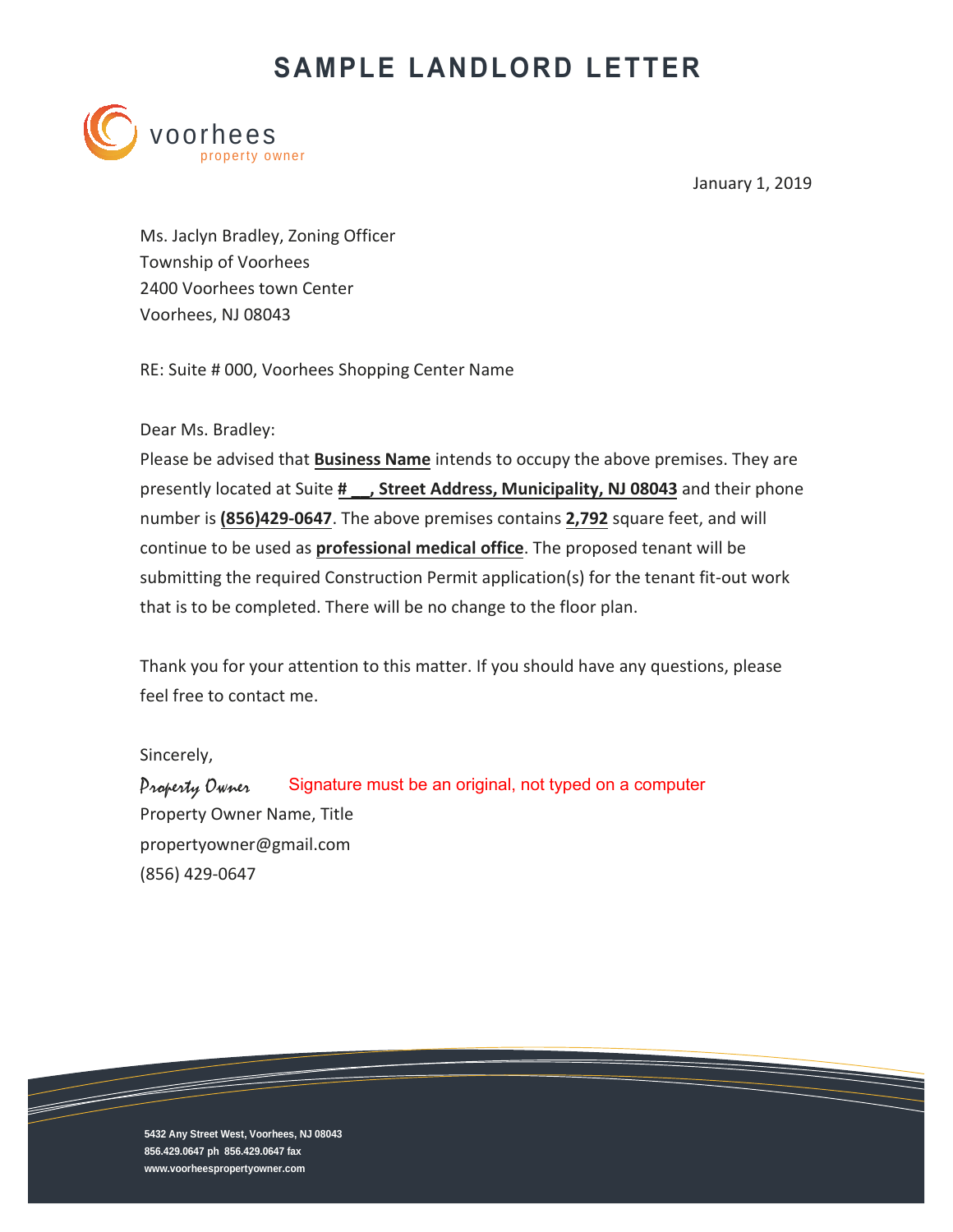# **SAMPLE LANDLORD LETTER**



January 1, 2019

Ms. Jaclyn Bradley, Zoning Officer Township of Voorhees 2400 Voorhees town Center Voorhees, NJ 08043

RE: Suite # 000, Voorhees Shopping Center Name

Dear Ms. Bradley:

Please be advised that **Business Name** intends to occupy the above premises. They are presently located at Suite **# \_\_, Street Address, Municipality, NJ 08043** and their phone number is **(856)429-0647**. The above premises contains **2,792** square feet, and will continue to be used as **professional medical office**. The proposed tenant will be submitting the required Construction Permit application(s) for the tenant fit-out work that is to be completed. There will be no change to the floor plan.

Thank you for your attention to this matter. If you should have any questions, please feel free to contact me.

Sincerely,

Property Owner Property Owner Name, Title propertyowner@gmail.com (856) 429-0647 Signature must be an original, not typed on a computer

**5432 Any Street West, Voorhees, NJ 08043 856.429.0647 ph 856.429.0647 fax www.voorheespropertyowner.com**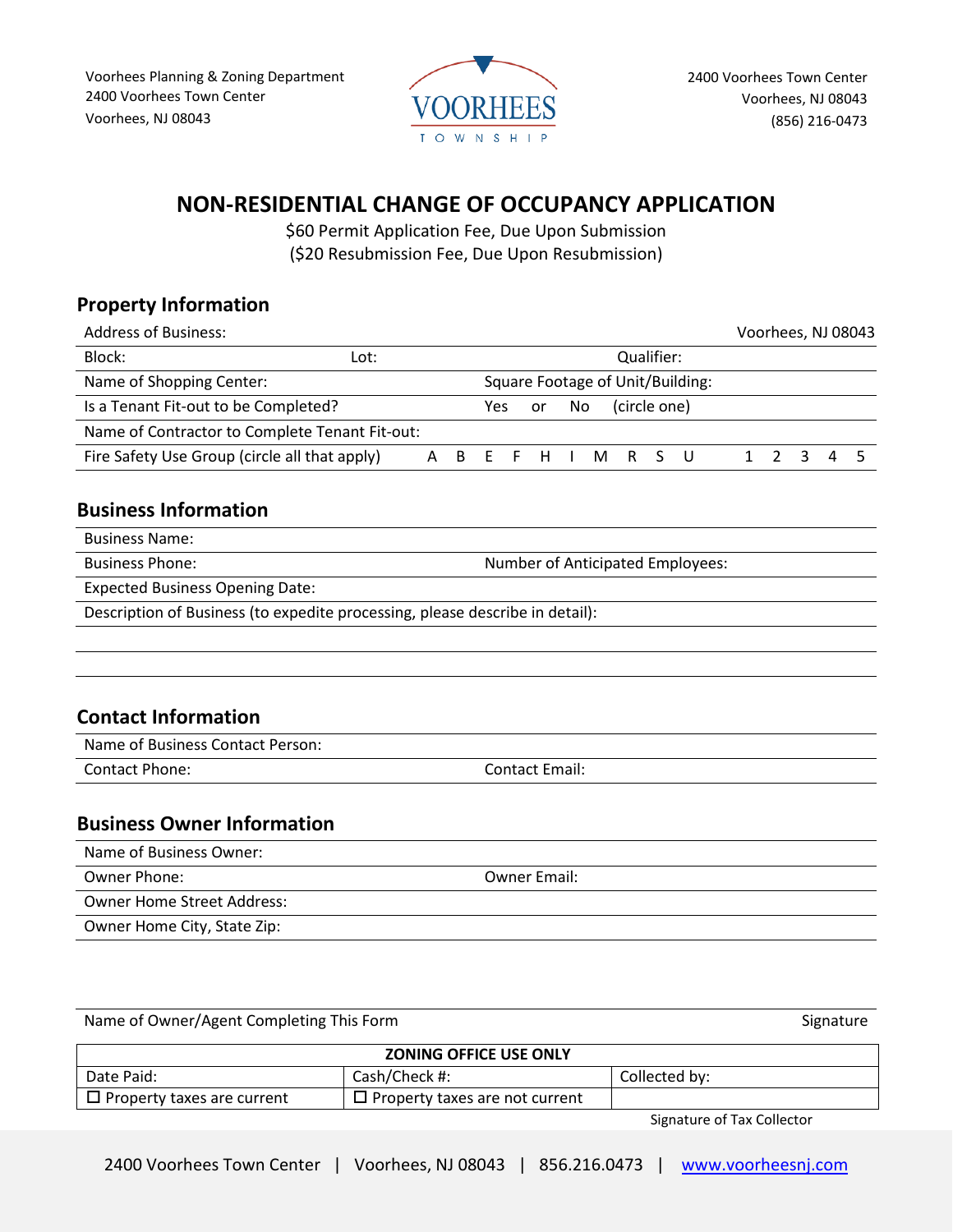

### **NON-RESIDENTIAL CHANGE OF OCCUPANCY APPLICATION**

\$60 Permit Application Fee, Due Upon Submission (\$20 Resubmission Fee, Due Upon Resubmission)

#### **Property Information**

| <b>Address of Business:</b>                    |  |     |            |    |     |  |              |  |                   |  |                                  |             |   | Voorhees, NJ 08043 |
|------------------------------------------------|--|-----|------------|----|-----|--|--------------|--|-------------------|--|----------------------------------|-------------|---|--------------------|
| Block:<br>Lot:                                 |  |     | Qualifier: |    |     |  |              |  |                   |  |                                  |             |   |                    |
| Name of Shopping Center:                       |  |     |            |    |     |  |              |  |                   |  | Square Footage of Unit/Building: |             |   |                    |
| Is a Tenant Fit-out to be Completed?           |  | Yes |            | or | No. |  | (circle one) |  |                   |  |                                  |             |   |                    |
| Name of Contractor to Complete Tenant Fit-out: |  |     |            |    |     |  |              |  |                   |  |                                  |             |   |                    |
| Fire Safety Use Group (circle all that apply)  |  | A   |            |    |     |  |              |  | B E F H I M R S U |  |                                  | $1 \t2 \t3$ | 4 |                    |
|                                                |  |     |            |    |     |  |              |  |                   |  |                                  |             |   |                    |

#### **Business Information**

Business Name:

Business Phone: Number of Anticipated Employees:

Expected Business Opening Date:

Description of Business (to expedite processing, please describe in detail):

#### **Contact Information**

Name of Business Contact Person:

Contact Phone: Contact Email:

#### **Business Owner Information**

Name of Business Owner: Owner Phone: Owner Email: Owner Home Street Address: Owner Home City, State Zip:

Name of Owner/Agent Completing This Form Signature Signature Signature

| <b>ZONING OFFICE USE ONLY</b>     |                                       |                                                         |  |  |
|-----------------------------------|---------------------------------------|---------------------------------------------------------|--|--|
| Date Paid:                        | Cash/Check #:                         | Collected by:                                           |  |  |
| $\Box$ Property taxes are current | $\Box$ Property taxes are not current |                                                         |  |  |
|                                   |                                       | $\sim$ $\sim$ $\sim$ $\sim$ $\sim$ $\sim$ $\sim$ $\sim$ |  |  |

Signature of Tax Collector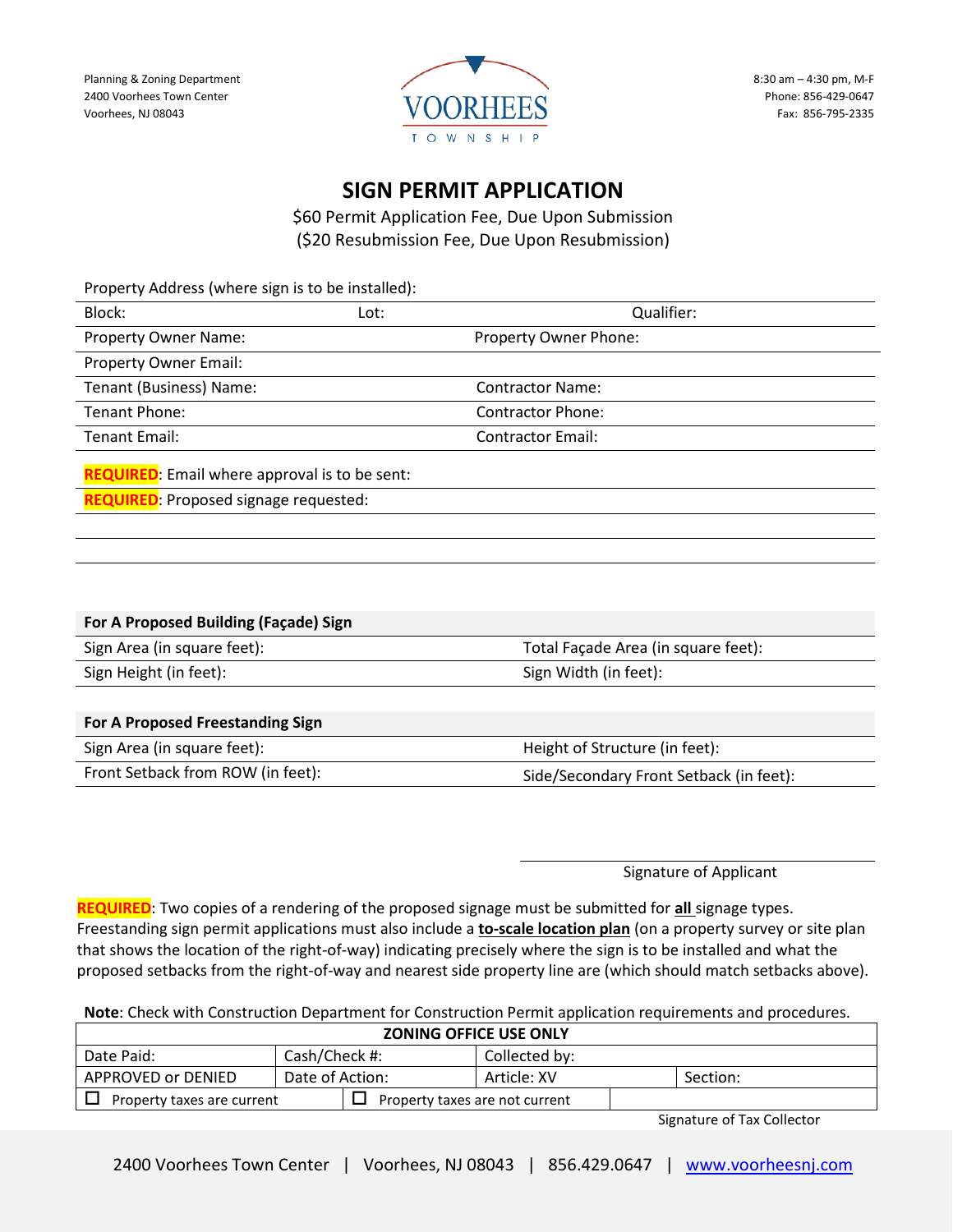

8:30 am – 4:30 pm, M-F Phone: 856-429-0647 Fax: 856-795-2335

## **SIGN PERMIT APPLICATION**

\$60 Permit Application Fee, Due Upon Submission (\$20 Resubmission Fee, Due Upon Resubmission)

Property Address (where sign is to be installed): Block: Lot: Qualifier: Property Owner Name: Name: Name: Property Owner Phone: Property Owner Email: Tenant (Business) Name: Contractor Name: Tenant Phone: Contractor Phone: Tenant Email: Contractor Email:

**REQUIRED**: Email where approval is to be sent:

**REQUIRED**: Proposed signage requested:

| For A Proposed Building (Façade) Sign                           |                                                                                                               |  |  |  |  |
|-----------------------------------------------------------------|---------------------------------------------------------------------------------------------------------------|--|--|--|--|
| Sign Area (in square feet):                                     | Total Façade Area (in square feet):                                                                           |  |  |  |  |
| Sign Height (in feet):                                          | Sign Width (in feet):                                                                                         |  |  |  |  |
|                                                                 |                                                                                                               |  |  |  |  |
| For A Proposed Freestanding Sign                                |                                                                                                               |  |  |  |  |
| $\mathcal{L}$ . A set $\mathcal{L}$ is the set of $\mathcal{L}$ | $\mathbf{u}$ and $\mathbf{u}$ are a subset of $\mathbf{u}$ and $\mathbf{u}$ are $\mathbf{u}$ and $\mathbf{u}$ |  |  |  |  |

| Sign Area (in square feet):       | Height of Structure (in feet):          |
|-----------------------------------|-----------------------------------------|
| Front Setback from ROW (in feet): | Side/Secondary Front Setback (in feet): |

Signature of Applicant

**REQUIRED**: Two copies of a rendering of the proposed signage must be submitted for **all** signage types. Freestanding sign permit applications must also include a **to-scale location plan** (on a property survey or site plan that shows the location of the right-of-way) indicating precisely where the sign is to be installed and what the proposed setbacks from the right-of-way and nearest side property line are (which should match setbacks above).

**Note**: Check with Construction Department for Construction Permit application requirements and procedures.

| <b>ZONING OFFICE USE ONLY</b>                                |                 |  |               |  |          |
|--------------------------------------------------------------|-----------------|--|---------------|--|----------|
| Date Paid:                                                   | Cash/Check #:   |  | Collected by: |  |          |
| APPROVED or DENIED                                           | Date of Action: |  | Article: XV   |  | Section: |
| Property taxes are not current<br>Property taxes are current |                 |  |               |  |          |
| $C = 1$                                                      |                 |  |               |  |          |

Signature of Tax Collector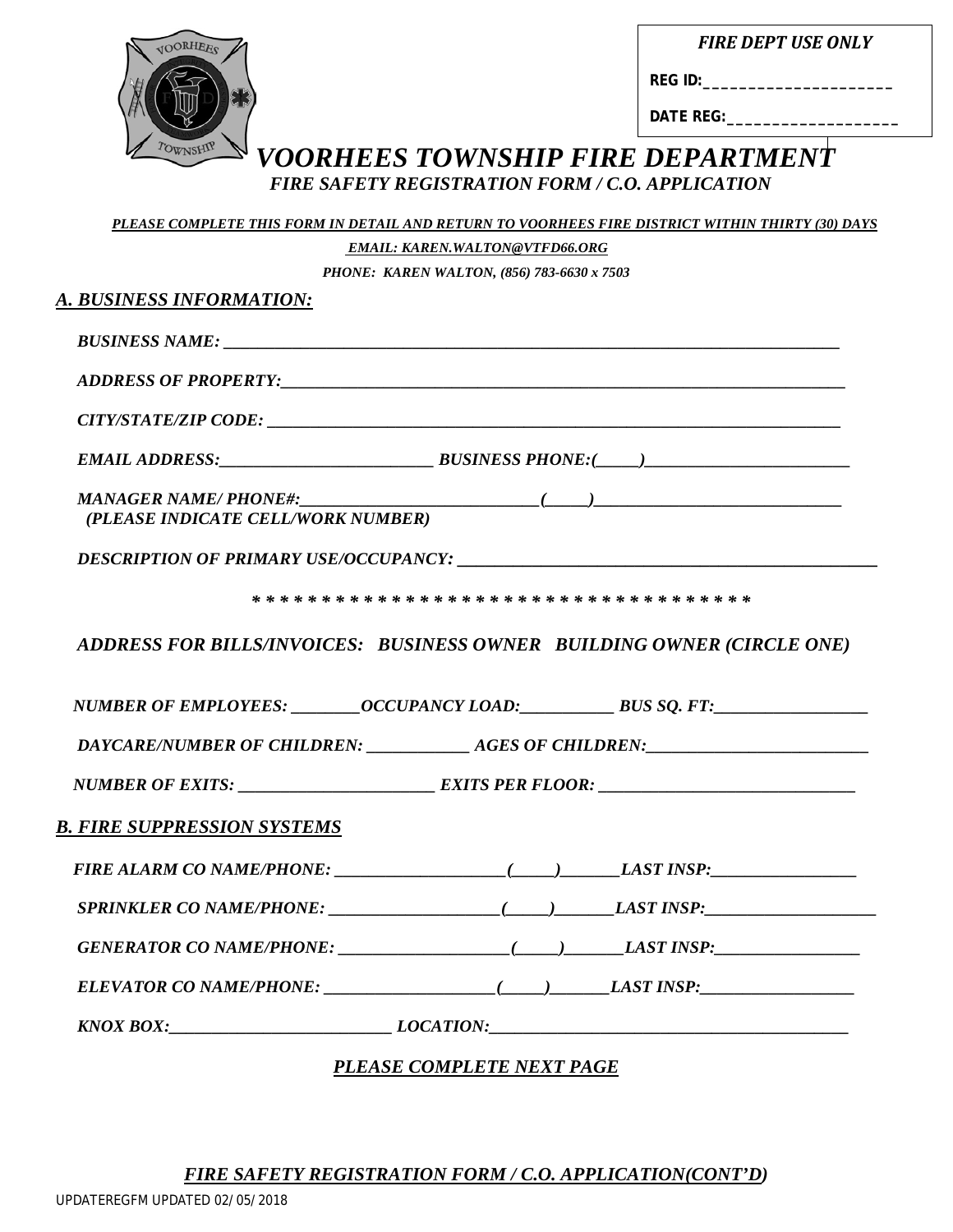*FIRE DEPT USE ONLY*

**DATE REG:\_\_\_\_\_\_\_\_\_\_\_\_\_\_\_\_\_\_\_**

# *VOORHEES TOWNSHIP FIRE DEPARTMENT FIRE SAFETY REGISTRATION FORM / C.O. APPLICATION PLEASE COMPLETE THIS FORM IN DETAIL AND RETURN TO VOORHEES FIRE DISTRICT WITHIN THIRTY (30) DAYS EMAIL: KAREN.WALTON@VTFD66.ORG*

*PHONE: KAREN WALTON, (856) 783-6630 x 7503*

| (PLEASE INDICATE CELL/WORK NUMBER) |                                                                        |
|------------------------------------|------------------------------------------------------------------------|
|                                    | DESCRIPTION OF PRIMARY USE/OCCUPANCY:                                  |
|                                    |                                                                        |
|                                    |                                                                        |
|                                    | ADDRESS FOR BILLS/INVOICES: BUSINESS OWNER BUILDING OWNER (CIRCLE ONE) |
|                                    |                                                                        |
|                                    |                                                                        |
|                                    |                                                                        |
|                                    |                                                                        |
|                                    |                                                                        |
|                                    |                                                                        |
|                                    |                                                                        |
| B. FIRE SUPPRESSION SYSTEMS        |                                                                        |

*FIRE SAFETY REGISTRATION FORM / C.O. APPLICATION(CONT'D)*

UPDATEREGFM UPDATED 02/05/2018

ORHEES